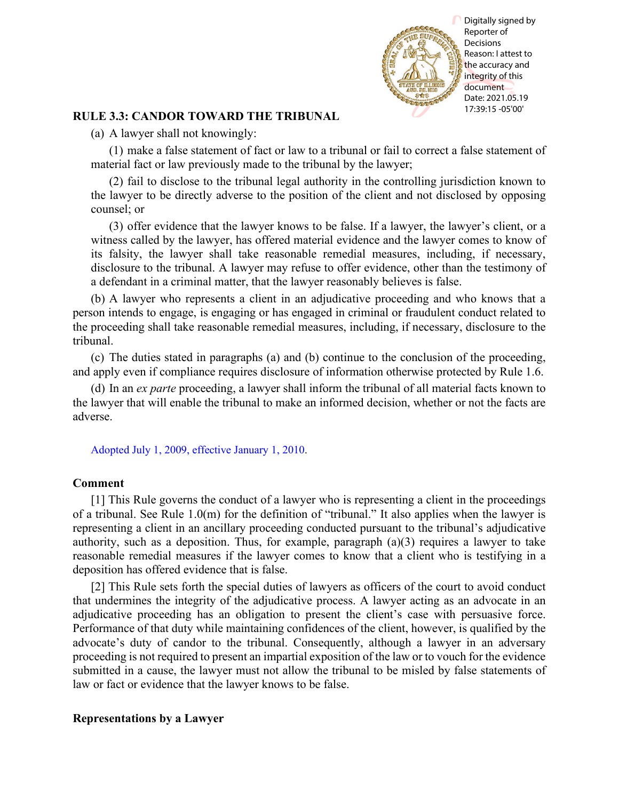

#### Digitally signed by Reporter of **Decisions** Reason: I attest to the accuracy and integrity of this document Date: 2021.05.19 17:39:15 -05'00'

# **RULE 3.3: CANDOR TOWARD THE TRIBUNAL**

(a) A lawyer shall not knowingly:

(1) make a false statement of fact or law to a tribunal or fail to correct a false statement of material fact or law previously made to the tribunal by the lawyer;

(2) fail to disclose to the tribunal legal authority in the controlling jurisdiction known to the lawyer to be directly adverse to the position of the client and not disclosed by opposing counsel; or

(3) offer evidence that the lawyer knows to be false. If a lawyer, the lawyer's client, or a witness called by the lawyer, has offered material evidence and the lawyer comes to know of its falsity, the lawyer shall take reasonable remedial measures, including, if necessary, disclosure to the tribunal. A lawyer may refuse to offer evidence, other than the testimony of a defendant in a criminal matter, that the lawyer reasonably believes is false.

(b) A lawyer who represents a client in an adjudicative proceeding and who knows that a person intends to engage, is engaging or has engaged in criminal or fraudulent conduct related to the proceeding shall take reasonable remedial measures, including, if necessary, disclosure to the tribunal.

(c) The duties stated in paragraphs (a) and (b) continue to the conclusion of the proceeding, and apply even if compliance requires disclosure of information otherwise protected by Rule 1.6.

(d) In an *ex parte* proceeding, a lawyer shall inform the tribunal of all material facts known to the lawyer that will enable the tribunal to make an informed decision, whether or not the facts are adverse.

[Adopted July 1, 2009, effective January 1, 2010.](http://www.illinoiscourts.gov/files/070109.pdf/amendment)

# **Comment**

[1] This Rule governs the conduct of a lawyer who is representing a client in the proceedings of a tribunal. See Rule 1.0(m) for the definition of "tribunal." It also applies when the lawyer is representing a client in an ancillary proceeding conducted pursuant to the tribunal's adjudicative authority, such as a deposition. Thus, for example, paragraph (a)(3) requires a lawyer to take reasonable remedial measures if the lawyer comes to know that a client who is testifying in a deposition has offered evidence that is false.

[2] This Rule sets forth the special duties of lawyers as officers of the court to avoid conduct that undermines the integrity of the adjudicative process. A lawyer acting as an advocate in an adjudicative proceeding has an obligation to present the client's case with persuasive force. Performance of that duty while maintaining confidences of the client, however, is qualified by the advocate's duty of candor to the tribunal. Consequently, although a lawyer in an adversary proceeding is not required to present an impartial exposition of the law or to vouch for the evidence submitted in a cause, the lawyer must not allow the tribunal to be misled by false statements of law or fact or evidence that the lawyer knows to be false.

## **Representations by a Lawyer**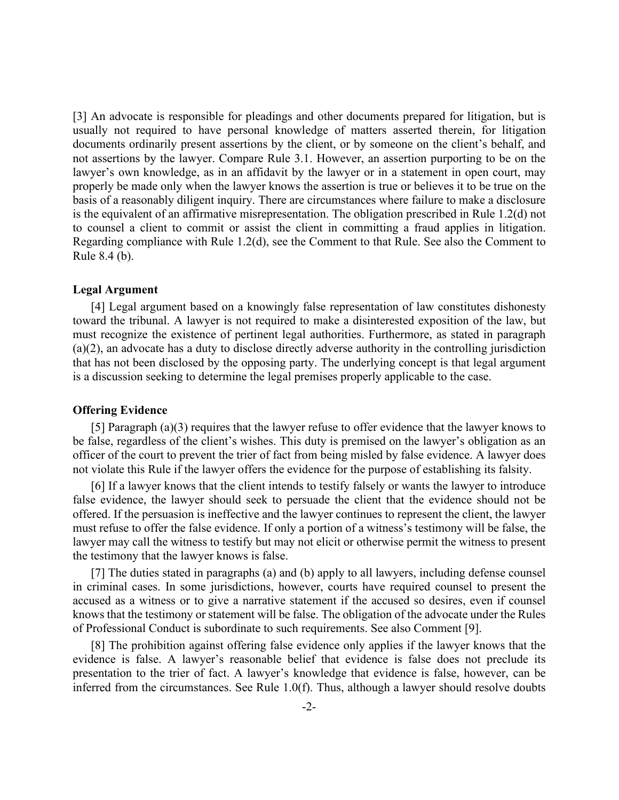[3] An advocate is responsible for pleadings and other documents prepared for litigation, but is usually not required to have personal knowledge of matters asserted therein, for litigation documents ordinarily present assertions by the client, or by someone on the client's behalf, and not assertions by the lawyer. Compare Rule 3.1. However, an assertion purporting to be on the lawyer's own knowledge, as in an affidavit by the lawyer or in a statement in open court, may properly be made only when the lawyer knows the assertion is true or believes it to be true on the basis of a reasonably diligent inquiry. There are circumstances where failure to make a disclosure is the equivalent of an affirmative misrepresentation. The obligation prescribed in Rule 1.2(d) not to counsel a client to commit or assist the client in committing a fraud applies in litigation. Regarding compliance with Rule 1.2(d), see the Comment to that Rule. See also the Comment to Rule 8.4 (b).

#### **Legal Argument**

[4] Legal argument based on a knowingly false representation of law constitutes dishonesty toward the tribunal. A lawyer is not required to make a disinterested exposition of the law, but must recognize the existence of pertinent legal authorities. Furthermore, as stated in paragraph (a)(2), an advocate has a duty to disclose directly adverse authority in the controlling jurisdiction that has not been disclosed by the opposing party. The underlying concept is that legal argument is a discussion seeking to determine the legal premises properly applicable to the case.

#### **Offering Evidence**

[5] Paragraph (a)(3) requires that the lawyer refuse to offer evidence that the lawyer knows to be false, regardless of the client's wishes. This duty is premised on the lawyer's obligation as an officer of the court to prevent the trier of fact from being misled by false evidence. A lawyer does not violate this Rule if the lawyer offers the evidence for the purpose of establishing its falsity.

[6] If a lawyer knows that the client intends to testify falsely or wants the lawyer to introduce false evidence, the lawyer should seek to persuade the client that the evidence should not be offered. If the persuasion is ineffective and the lawyer continues to represent the client, the lawyer must refuse to offer the false evidence. If only a portion of a witness's testimony will be false, the lawyer may call the witness to testify but may not elicit or otherwise permit the witness to present the testimony that the lawyer knows is false.

[7] The duties stated in paragraphs (a) and (b) apply to all lawyers, including defense counsel in criminal cases. In some jurisdictions, however, courts have required counsel to present the accused as a witness or to give a narrative statement if the accused so desires, even if counsel knows that the testimony or statement will be false. The obligation of the advocate under the Rules of Professional Conduct is subordinate to such requirements. See also Comment [9].

[8] The prohibition against offering false evidence only applies if the lawyer knows that the evidence is false. A lawyer's reasonable belief that evidence is false does not preclude its presentation to the trier of fact. A lawyer's knowledge that evidence is false, however, can be inferred from the circumstances. See Rule 1.0(f). Thus, although a lawyer should resolve doubts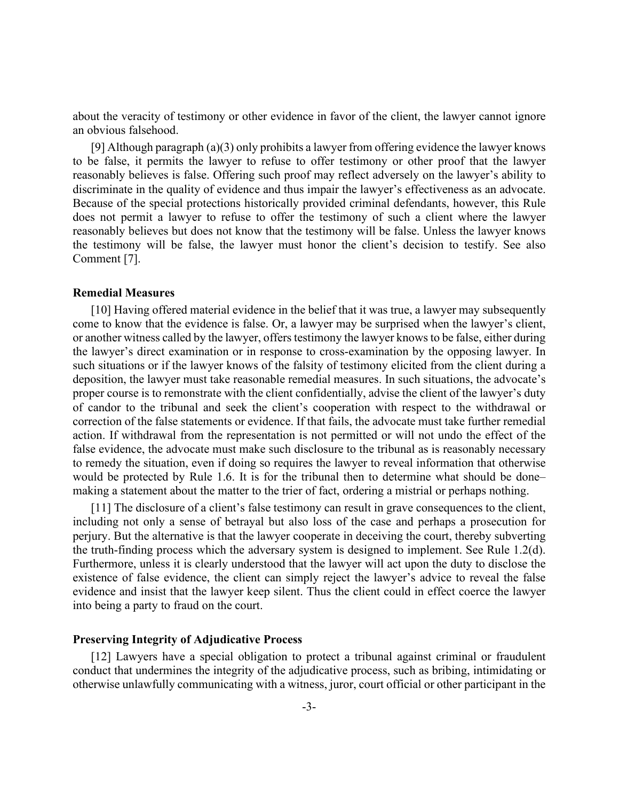about the veracity of testimony or other evidence in favor of the client, the lawyer cannot ignore an obvious falsehood.

[9] Although paragraph (a)(3) only prohibits a lawyer from offering evidence the lawyer knows to be false, it permits the lawyer to refuse to offer testimony or other proof that the lawyer reasonably believes is false. Offering such proof may reflect adversely on the lawyer's ability to discriminate in the quality of evidence and thus impair the lawyer's effectiveness as an advocate. Because of the special protections historically provided criminal defendants, however, this Rule does not permit a lawyer to refuse to offer the testimony of such a client where the lawyer reasonably believes but does not know that the testimony will be false. Unless the lawyer knows the testimony will be false, the lawyer must honor the client's decision to testify. See also Comment [7].

#### **Remedial Measures**

[10] Having offered material evidence in the belief that it was true, a lawyer may subsequently come to know that the evidence is false. Or, a lawyer may be surprised when the lawyer's client, or another witness called by the lawyer, offers testimony the lawyer knows to be false, either during the lawyer's direct examination or in response to cross-examination by the opposing lawyer. In such situations or if the lawyer knows of the falsity of testimony elicited from the client during a deposition, the lawyer must take reasonable remedial measures. In such situations, the advocate's proper course is to remonstrate with the client confidentially, advise the client of the lawyer's duty of candor to the tribunal and seek the client's cooperation with respect to the withdrawal or correction of the false statements or evidence. If that fails, the advocate must take further remedial action. If withdrawal from the representation is not permitted or will not undo the effect of the false evidence, the advocate must make such disclosure to the tribunal as is reasonably necessary to remedy the situation, even if doing so requires the lawyer to reveal information that otherwise would be protected by Rule 1.6. It is for the tribunal then to determine what should be done– making a statement about the matter to the trier of fact, ordering a mistrial or perhaps nothing.

[11] The disclosure of a client's false testimony can result in grave consequences to the client, including not only a sense of betrayal but also loss of the case and perhaps a prosecution for perjury. But the alternative is that the lawyer cooperate in deceiving the court, thereby subverting the truth-finding process which the adversary system is designed to implement. See Rule 1.2(d). Furthermore, unless it is clearly understood that the lawyer will act upon the duty to disclose the existence of false evidence, the client can simply reject the lawyer's advice to reveal the false evidence and insist that the lawyer keep silent. Thus the client could in effect coerce the lawyer into being a party to fraud on the court.

#### **Preserving Integrity of Adjudicative Process**

[12] Lawyers have a special obligation to protect a tribunal against criminal or fraudulent conduct that undermines the integrity of the adjudicative process, such as bribing, intimidating or otherwise unlawfully communicating with a witness, juror, court official or other participant in the